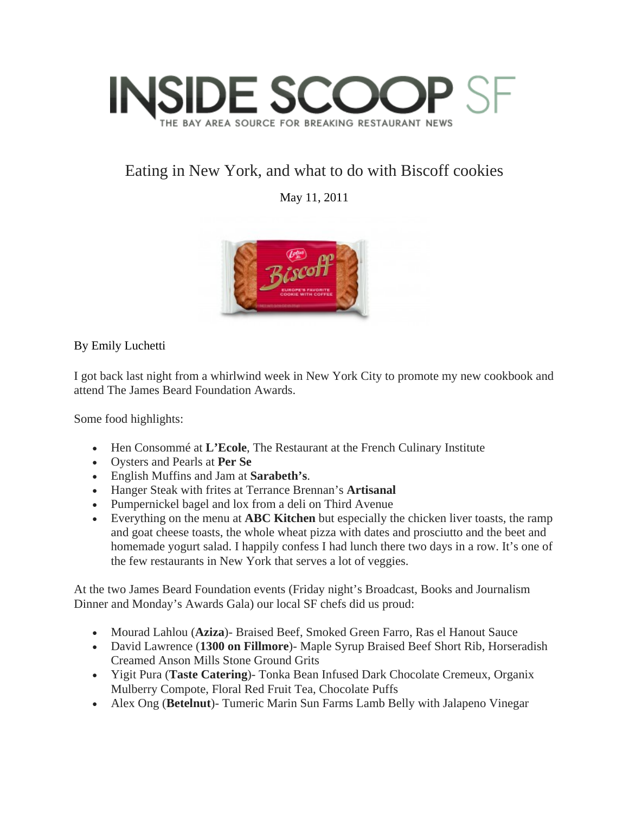

## Eating in New York, and what to do with Biscoff cookies

May 11, 2011



By Emily Luchetti

I got back last night from a whirlwind week in New York City to promote my new cookbook and attend The James Beard Foundation Awards.

Some food highlights:

- Hen Consommé at **L'Ecole**, The Restaurant at the French Culinary Institute
- Oysters and Pearls at **Per Se**
- English Muffins and Jam at **Sarabeth's**.
- Hanger Steak with frites at Terrance Brennan's **Artisanal**
- Pumpernickel bagel and lox from a deli on Third Avenue
- Everything on the menu at **ABC Kitchen** but especially the chicken liver toasts, the ramp and goat cheese toasts, the whole wheat pizza with dates and prosciutto and the beet and homemade yogurt salad. I happily confess I had lunch there two days in a row. It's one of the few restaurants in New York that serves a lot of veggies.

At the two James Beard Foundation events (Friday night's Broadcast, Books and Journalism Dinner and Monday's Awards Gala) our local SF chefs did us proud:

- Mourad Lahlou (**Aziza**)- Braised Beef, Smoked Green Farro, Ras el Hanout Sauce
- David Lawrence (**1300 on Fillmore**)- Maple Syrup Braised Beef Short Rib, Horseradish Creamed Anson Mills Stone Ground Grits
- Yigit Pura (**Taste Catering**)- Tonka Bean Infused Dark Chocolate Cremeux, Organix Mulberry Compote, Floral Red Fruit Tea, Chocolate Puffs
- Alex Ong (**Betelnut**)- Tumeric Marin Sun Farms Lamb Belly with Jalapeno Vinegar